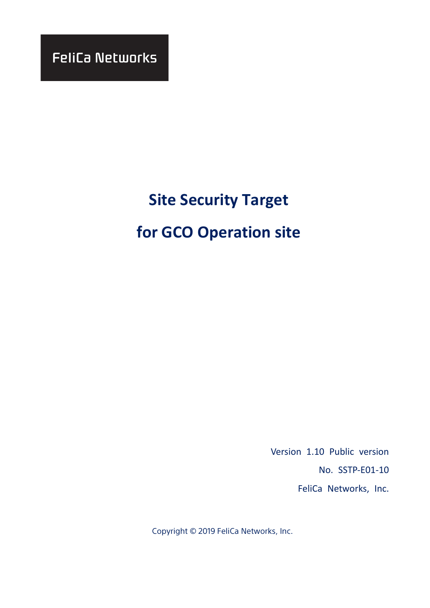**FeliCa Networks** 

# **Site Security Target**

# **for GCO Operation site**

Version 1.10 Public version No. SSTP-E01-10 FeliCa Networks, Inc.

Copyright © 2019 FeliCa Networks, Inc.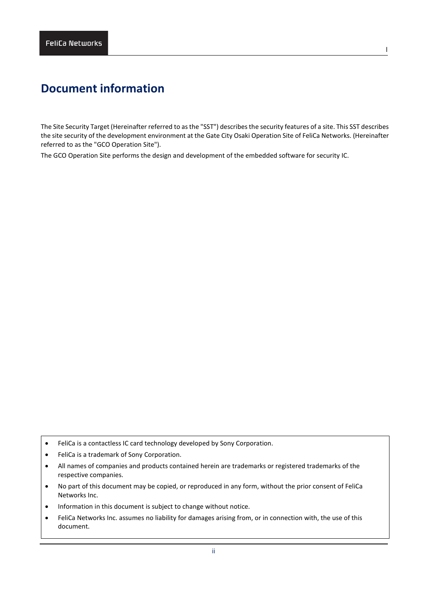# **Document information**

The Site Security Target (Hereinafter referred to as the "SST") describes the security features of a site. This SST describes the site security of the development environment at the Gate City Osaki Operation Site of FeliCa Networks. (Hereinafter referred to as the "GCO Operation Site").

The GCO Operation Site performs the design and development of the embedded software for security IC.

- FeliCa is a contactless IC card technology developed by Sony Corporation.
- FeliCa is a trademark of Sony Corporation.
- All names of companies and products contained herein are trademarks or registered trademarks of the respective companies.
- No part of this document may be copied, or reproduced in any form, without the prior consent of FeliCa Networks Inc.
- Information in this document is subject to change without notice.
- FeliCa Networks Inc. assumes no liability for damages arising from, or in connection with, the use of this document.

l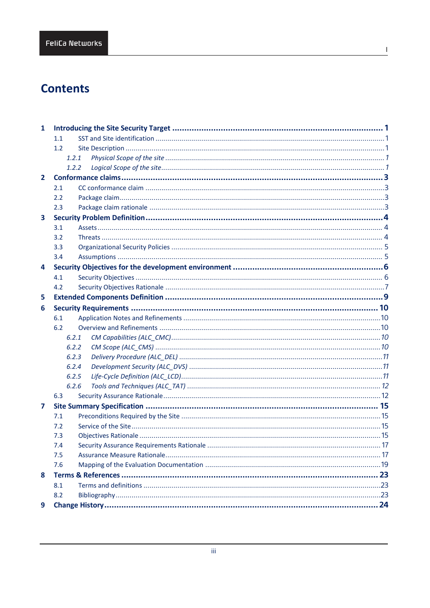# **Contents**

| $\mathbf{1}$            |       |  |
|-------------------------|-------|--|
|                         | 1.1   |  |
|                         | 1.2   |  |
|                         | 1.2.1 |  |
|                         | 1.2.2 |  |
| $\mathbf{2}$            |       |  |
|                         | 2.1   |  |
|                         | 2.2   |  |
|                         | 2.3   |  |
| $\overline{\mathbf{3}}$ |       |  |
|                         | 3.1   |  |
|                         | 3.2   |  |
|                         | 3.3   |  |
|                         | 3.4   |  |
| 4                       |       |  |
|                         | 4.1   |  |
|                         | 4.2   |  |
| 5                       |       |  |
| 6                       |       |  |
|                         | 6.1   |  |
|                         | 6.2   |  |
|                         | 6.2.1 |  |
|                         | 6.2.2 |  |
|                         | 6.2.3 |  |
|                         | 6.2.4 |  |
|                         | 6.2.5 |  |
|                         | 6.2.6 |  |
|                         | 6.3   |  |
| 7                       |       |  |
|                         | 7.1   |  |
|                         | 7.2   |  |
|                         | 7.3   |  |
|                         | 7.4   |  |
|                         | 7.5   |  |
|                         | 7.6   |  |
| 8                       |       |  |
|                         | 8.1   |  |
|                         | 8.2   |  |
| 9                       |       |  |

 $\mathbf{I}$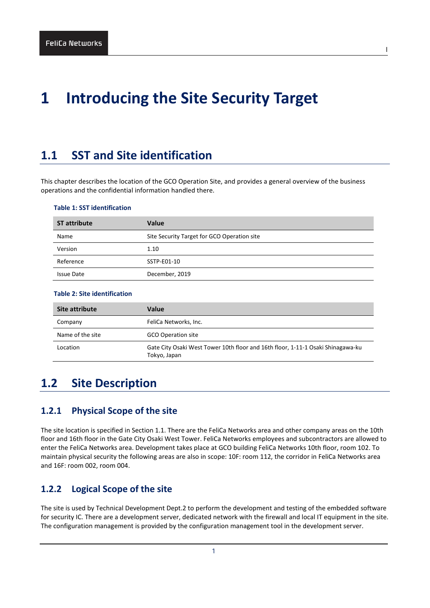# <span id="page-3-0"></span>**1 Introducing the Site Security Target**

# <span id="page-3-1"></span>**1.1 SST and Site identification**

This chapter describes the location of the GCO Operation Site, and provides a general overview of the business operations and the confidential information handled there.

#### **Table 1: SST identification**

| <b>ST attribute</b> | <b>Value</b>                                |
|---------------------|---------------------------------------------|
| Name                | Site Security Target for GCO Operation site |
| Version             | 1.10                                        |
| Reference           | SSTP-E01-10                                 |
| <b>Issue Date</b>   | December, 2019                              |

## **Table 2: Site identification**

| Site attribute   | Value                                                                                           |
|------------------|-------------------------------------------------------------------------------------------------|
| Company          | FeliCa Networks, Inc.                                                                           |
| Name of the site | <b>GCO Operation site</b>                                                                       |
| Location         | Gate City Osaki West Tower 10th floor and 16th floor, 1-11-1 Osaki Shinagawa-ku<br>Tokyo, Japan |

## <span id="page-3-2"></span>**1.2 Site Description**

## <span id="page-3-3"></span>**1.2.1 Physical Scope of the site**

The site location is specified in Section [1.1.](#page-3-1) There are the FeliCa Networks area and other company areas on the 10th floor and 16th floor in the Gate City Osaki West Tower. FeliCa Networks employees and subcontractors are allowed to enter the FeliCa Networks area. Development takes place at GCO building FeliCa Networks 10th floor, room 102. To maintain physical security the following areas are also in scope: 10F: room 112, the corridor in FeliCa Networks area and 16F: room 002, room 004.

## <span id="page-3-4"></span>**1.2.2 Logical Scope of the site**

The site is used by Technical Development Dept.2 to perform the development and testing of the embedded software for security IC. There are a development server, dedicated network with the firewall and local IT equipment in the site. The configuration management is provided by the configuration management tool in the development server.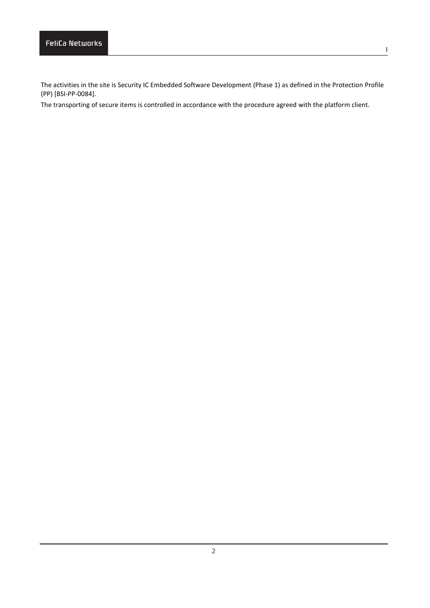The activities in the site is Security IC Embedded Software Development (Phase 1) as defined in the Protection Profile (PP) [BSI-PP-0084].

The transporting of secure items is controlled in accordance with the procedure agreed with the platform client.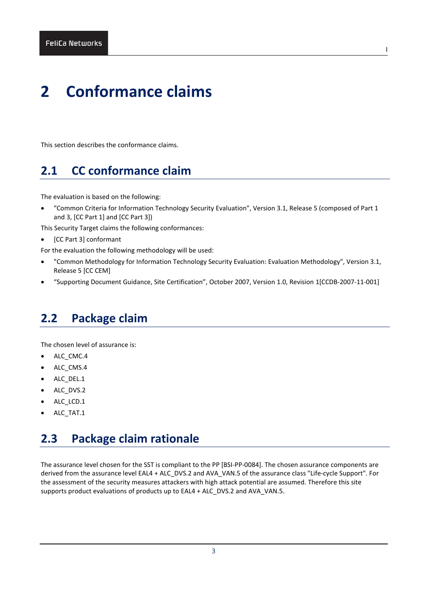# <span id="page-5-0"></span>**2 Conformance claims**

<span id="page-5-1"></span>This section describes the conformance claims.

# **2.1 CC conformance claim**

The evaluation is based on the following:

• "Common Criteria for Information Technology Security Evaluation", Version 3.1, Release 5 (composed of Part 1 and 3, [CC Part 1] and [CC Part 3])

l

This Security Target claims the following conformances:

- [CC Part 3] conformant
- For the evaluation the following methodology will be used:
- "Common Methodology for Information Technology Security Evaluation: Evaluation Methodology", Version 3.1, Release 5 [CC CEM]
- "Supporting Document Guidance, Site Certification", October 2007, Version 1.0, Revision 1[CCDB-2007-11-001]

# <span id="page-5-2"></span>**2.2 Package claim**

The chosen level of assurance is:

- ALC\_CMC.4
- ALC\_CMS.4
- ALC DEL.1
- ALC DVS.2
- ALC LCD.1
- <span id="page-5-3"></span>ALC TAT.1

# **2.3 Package claim rationale**

The assurance level chosen for the SST is compliant to the PP [BSI-PP-0084]. The chosen assurance components are derived from the assurance level EAL4 + ALC\_DVS.2 and AVA\_VAN.5 of the assurance class "Life-cycle Support". For the assessment of the security measures attackers with high attack potential are assumed. Therefore this site supports product evaluations of products up to EAL4 + ALC\_DVS.2 and AVA\_VAN.5.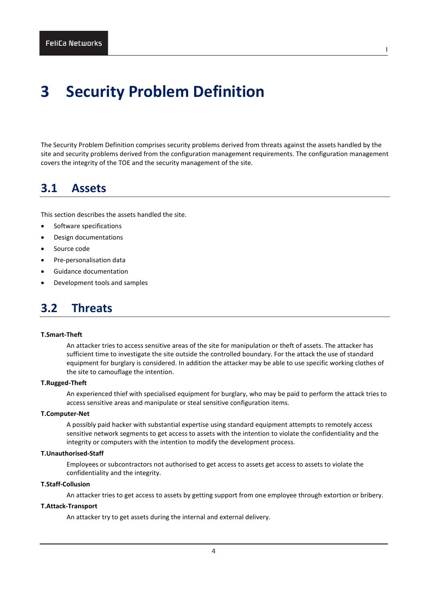# <span id="page-6-0"></span>**3 Security Problem Definition**

The Security Problem Definition comprises security problems derived from threats against the assets handled by the site and security problems derived from the configuration management requirements. The configuration management covers the integrity of the TOE and the security management of the site.

## <span id="page-6-1"></span>**3.1 Assets**

This section describes the assets handled the site.

- Software specifications
- Design documentations
- Source code
- Pre-personalisation data
- Guidance documentation
- <span id="page-6-2"></span>• Development tools and samples

## **3.2 Threats**

#### **T.Smart-Theft**

An attacker tries to access sensitive areas of the site for manipulation or theft of assets. The attacker has sufficient time to investigate the site outside the controlled boundary. For the attack the use of standard equipment for burglary is considered. In addition the attacker may be able to use specific working clothes of the site to camouflage the intention.

## **T.Rugged-Theft**

An experienced thief with specialised equipment for burglary, who may be paid to perform the attack tries to access sensitive areas and manipulate or steal sensitive configuration items.

## **T.Computer-Net**

A possibly paid hacker with substantial expertise using standard equipment attempts to remotely access sensitive network segments to get access to assets with the intention to violate the confidentiality and the integrity or computers with the intention to modify the development process.

## **T.Unauthorised-Staff**

Employees or subcontractors not authorised to get access to assets get access to assets to violate the confidentiality and the integrity.

#### **T.Staff-Collusion**

An attacker tries to get access to assets by getting support from one employee through extortion or bribery.

#### **T.Attack-Transport**

An attacker try to get assets during the internal and external delivery.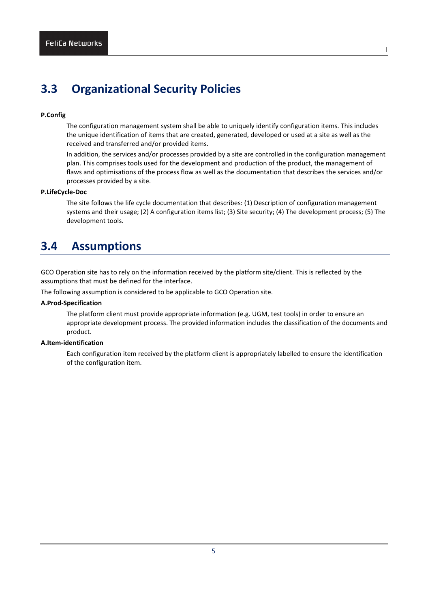# <span id="page-7-0"></span>**3.3 Organizational Security Policies**

### **P.Config**

The configuration management system shall be able to uniquely identify configuration items. This includes the unique identification of items that are created, generated, developed or used at a site as well as the received and transferred and/or provided items.

l

In addition, the services and/or processes provided by a site are controlled in the configuration management plan. This comprises tools used for the development and production of the product, the management of flaws and optimisations of the process flow as well as the documentation that describes the services and/or processes provided by a site.

#### **P.LifeCycle-Doc**

The site follows the life cycle documentation that describes: (1) Description of configuration management systems and their usage; (2) A configuration items list; (3) Site security; (4) The development process; (5) The development tools.

# <span id="page-7-1"></span>**3.4 Assumptions**

GCO Operation site has to rely on the information received by the platform site/client. This is reflected by the assumptions that must be defined for the interface.

The following assumption is considered to be applicable to GCO Operation site.

## **A.Prod-Specification**

The platform client must provide appropriate information (e.g. UGM, test tools) in order to ensure an appropriate development process. The provided information includes the classification of the documents and product.

## **A.Item-identification**

Each configuration item received by the platform client is appropriately labelled to ensure the identification of the configuration item.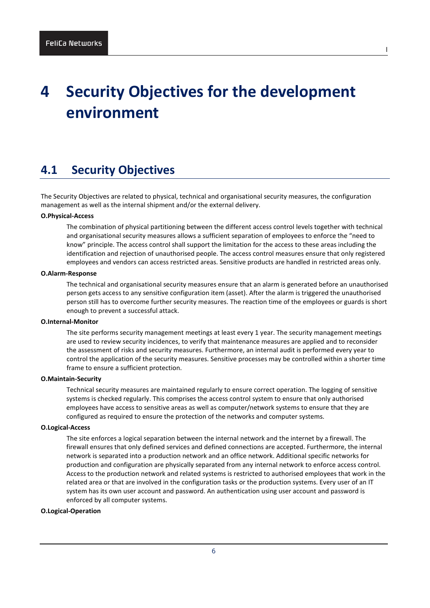# <span id="page-8-0"></span>**4 Security Objectives for the development environment**

l

# <span id="page-8-1"></span>**4.1 Security Objectives**

The Security Objectives are related to physical, technical and organisational security measures, the configuration management as well as the internal shipment and/or the external delivery.

## **O.Physical-Access**

The combination of physical partitioning between the different access control levels together with technical and organisational security measures allows a sufficient separation of employees to enforce the "need to know" principle. The access control shall support the limitation for the access to these areas including the identification and rejection of unauthorised people. The access control measures ensure that only registered employees and vendors can access restricted areas. Sensitive products are handled in restricted areas only.

#### **O.Alarm-Response**

The technical and organisational security measures ensure that an alarm is generated before an unauthorised person gets access to any sensitive configuration item (asset). After the alarm is triggered the unauthorised person still has to overcome further security measures. The reaction time of the employees or guards is short enough to prevent a successful attack.

### **O.Internal-Monitor**

The site performs security management meetings at least every 1 year. The security management meetings are used to review security incidences, to verify that maintenance measures are applied and to reconsider the assessment of risks and security measures. Furthermore, an internal audit is performed every year to control the application of the security measures. Sensitive processes may be controlled within a shorter time frame to ensure a sufficient protection.

## **O.Maintain-Security**

Technical security measures are maintained regularly to ensure correct operation. The logging of sensitive systems is checked regularly. This comprises the access control system to ensure that only authorised employees have access to sensitive areas as well as computer/network systems to ensure that they are configured as required to ensure the protection of the networks and computer systems.

#### **O.Logical-Access**

The site enforces a logical separation between the internal network and the internet by a firewall. The firewall ensures that only defined services and defined connections are accepted. Furthermore, the internal network is separated into a production network and an office network. Additional specific networks for production and configuration are physically separated from any internal network to enforce access control. Access to the production network and related systems is restricted to authorised employees that work in the related area or that are involved in the configuration tasks or the production systems. Every user of an IT system has its own user account and password. An authentication using user account and password is enforced by all computer systems.

## **O.Logical-Operation**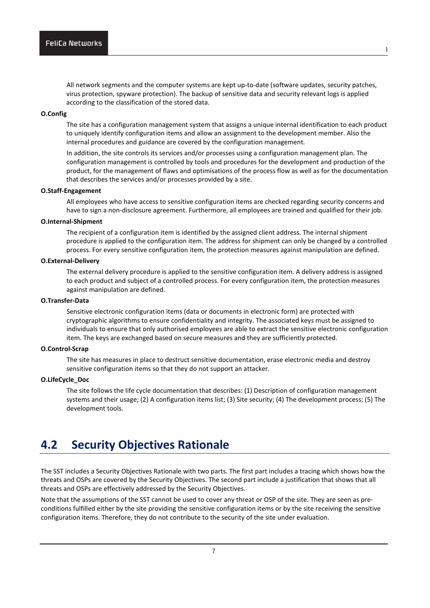All network segments and the computer systems are kept up-to-date (software updates, security patches, virus protection, spyware protection). The backup of sensitive data and security relevant logs is applied according to the classification of the stored data.

l

## **O.Config**

The site has a configuration management system that assigns a unique internal identification to each product to uniquely identify configuration items and allow an assignment to the development member. Also the internal procedures and guidance are covered by the configuration management.

In addition, the site controls its services and/or processes using a configuration management plan. The configuration management is controlled by tools and procedures for the development and production of the product, for the management of flaws and optimisations of the process flow as well as for the documentation that describes the services and/or processes provided by a site.

#### **O.Staff-Engagement**

All employees who have access to sensitive configuration items are checked regarding security concerns and have to sign a non-disclosure agreement. Furthermore, all employees are trained and qualified for their job.

## **O.Internal-Shipment**

The recipient of a configuration item is identified by the assigned client address. The internal shipment procedure is applied to the configuration item. The address for shipment can only be changed by a controlled process. For every sensitive configuration item, the protection measures against manipulation are defined.

#### **O.External-Delivery**

The external delivery procedure is applied to the sensitive configuration item. A delivery address is assigned to each product and subject of a controlled process. For every configuration item, the protection measures against manipulation are defined.

## **O.Transfer-Data**

Sensitive electronic configuration items (data or documents in electronic form) are protected with cryptographic algorithms to ensure confidentiality and integrity. The associated keys must be assigned to individuals to ensure that only authorised employees are able to extract the sensitive electronic configuration item. The keys are exchanged based on secure measures and they are sufficiently protected.

#### **O.Control-Scrap**

The site has measures in place to destruct sensitive documentation, erase electronic media and destroy sensitive configuration items so that they do not support an attacker.

### **O.LifeCycle\_Doc**

The site follows the life cycle documentation that describes: (1) Description of configuration management systems and their usage; (2) A configuration items list; (3) Site security; (4) The development process; (5) The development tools.

# <span id="page-9-0"></span>**4.2 Security Objectives Rationale**

The SST includes a Security Objectives Rationale with two parts. The first part includes a tracing which shows how the threats and OSPs are covered by the Security Objectives. The second part include a justification that shows that all threats and OSPs are effectively addressed by the Security Objectives.

Note that the assumptions of the SST cannot be used to cover any threat or OSP of the site. They are seen as preconditions fulfilled either by the site providing the sensitive configuration items or by the site receiving the sensitive configuration items. Therefore, they do not contribute to the security of the site under evaluation.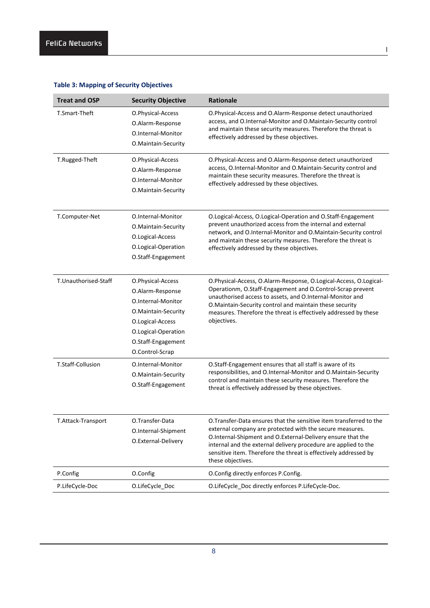| <b>Treat and OSP</b> | <b>Security Objective</b>                                                                                                                                              | <b>Rationale</b>                                                                                                                                                                                                                                                                                                                                           |
|----------------------|------------------------------------------------------------------------------------------------------------------------------------------------------------------------|------------------------------------------------------------------------------------------------------------------------------------------------------------------------------------------------------------------------------------------------------------------------------------------------------------------------------------------------------------|
| T.Smart-Theft        | O.Physical-Access<br>O.Alarm-Response<br>O.Internal-Monitor<br>O.Maintain-Security                                                                                     | O.Physical-Access and O.Alarm-Response detect unauthorized<br>access, and O.Internal-Monitor and O.Maintain-Security control<br>and maintain these security measures. Therefore the threat is<br>effectively addressed by these objectives.                                                                                                                |
| T.Rugged-Theft       | O.Physical-Access<br>O.Alarm-Response<br>O.Internal-Monitor<br>O.Maintain-Security                                                                                     | O.Physical-Access and O.Alarm-Response detect unauthorized<br>access, O.Internal-Monitor and O.Maintain-Security control and<br>maintain these security measures. Therefore the threat is<br>effectively addressed by these objectives.                                                                                                                    |
| T.Computer-Net       | O.Internal-Monitor<br>O.Maintain-Security<br>O.Logical-Access<br>O.Logical-Operation<br>O.Staff-Engagement                                                             | O.Logical-Access, O.Logical-Operation and O.Staff-Engagement<br>prevent unauthorized access from the internal and external<br>network, and O.Internal-Monitor and O.Maintain-Security control<br>and maintain these security measures. Therefore the threat is<br>effectively addressed by these objectives.                                               |
| T.Unauthorised-Staff | O.Physical-Access<br>O.Alarm-Response<br>O.Internal-Monitor<br>O.Maintain-Security<br>O.Logical-Access<br>O.Logical-Operation<br>O.Staff-Engagement<br>O.Control-Scrap | O.Physical-Access, O.Alarm-Response, O.Logical-Access, O.Logical-<br>Operationm, O.Staff-Engagement and O.Control-Scrap prevent<br>unauthorised access to assets, and O.Internal-Monitor and<br>O.Maintain-Security control and maintain these security<br>measures. Therefore the threat is effectively addressed by these<br>objectives.                 |
| T.Staff-Collusion    | O.Internal-Monitor<br>O.Maintain-Security<br>O.Staff-Engagement                                                                                                        | O.Staff-Engagement ensures that all staff is aware of its<br>responsibilities, and O.Internal-Monitor and O.Maintain-Security<br>control and maintain these security measures. Therefore the<br>threat is effectively addressed by these objectives.                                                                                                       |
| T.Attack-Transport   | O.Transfer-Data<br>O.Internal-Shipment<br>O.External-Delivery                                                                                                          | O. Transfer-Data ensures that the sensitive item transferred to the<br>external company are protected with the secure measures.<br>O.Internal-Shipment and O.External-Delivery ensure that the<br>internal and the external delivery procedure are applied to the<br>sensitive item. Therefore the threat is effectively addressed by<br>these objectives. |
| P.Config             | O.Config                                                                                                                                                               | O.Config directly enforces P.Config.                                                                                                                                                                                                                                                                                                                       |
| P.LifeCycle-Doc      | O.LifeCycle_Doc                                                                                                                                                        | O.LifeCycle_Doc directly enforces P.LifeCycle-Doc.                                                                                                                                                                                                                                                                                                         |

l

## **Table 3: Mapping of Security Objectives**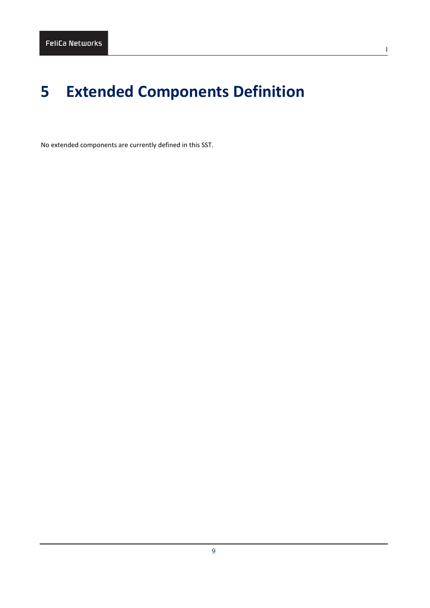# <span id="page-11-0"></span>**5 Extended Components Definition**

No extended components are currently defined in this SST.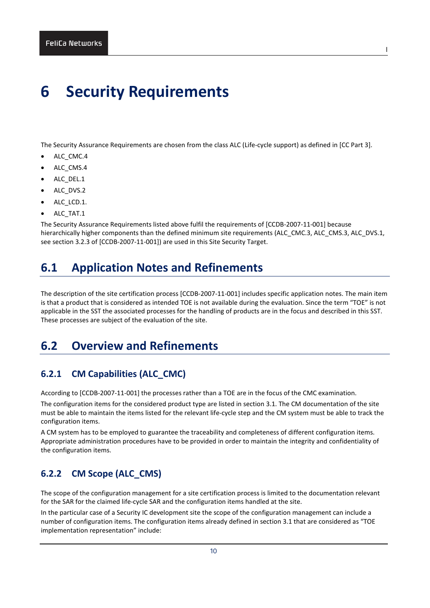# <span id="page-12-0"></span>**6 Security Requirements**

The Security Assurance Requirements are chosen from the class ALC (Life-cycle support) as defined in [CC Part 3].

l

- ALC\_CMC.4
- ALC\_CMS.4
- ALC DEL.1
- ALC\_DVS.2
- ALC\_LCD.1.
- ALC TAT.1

The Security Assurance Requirements listed above fulfil the requirements of [CCDB-2007-11-001] because hierarchically higher components than the defined minimum site requirements (ALC\_CMC.3, ALC\_CMS.3, ALC\_DVS.1, see section 3.2.3 of [CCDB-2007-11-001]) are used in this Site Security Target.

# <span id="page-12-1"></span>**6.1 Application Notes and Refinements**

The description of the site certification process [CCDB-2007-11-001] includes specific application notes. The main item is that a product that is considered as intended TOE is not available during the evaluation. Since the term "TOE" is not applicable in the SST the associated processes for the handling of products are in the focus and described in this SST. These processes are subject of the evaluation of the site.

# <span id="page-12-2"></span>**6.2 Overview and Refinements**

## <span id="page-12-3"></span>**6.2.1 CM Capabilities (ALC\_CMC)**

According to [CCDB-2007-11-001] the processes rather than a TOE are in the focus of the CMC examination.

The configuration items for the considered product type are listed in sectio[n 3.1.](#page-6-1) The CM documentation of the site must be able to maintain the items listed for the relevant life-cycle step and the CM system must be able to track the configuration items.

A CM system has to be employed to guarantee the traceability and completeness of different configuration items. Appropriate administration procedures have to be provided in order to maintain the integrity and confidentiality of the configuration items.

## <span id="page-12-4"></span>**6.2.2 CM Scope (ALC\_CMS)**

The scope of the configuration management for a site certification process is limited to the documentation relevant for the SAR for the claimed life-cycle SAR and the configuration items handled at the site.

In the particular case of a Security IC development site the scope of the configuration management can include a number of configuration items. The configuration items already defined in section [3.1](#page-6-1) that are considered as "TOE implementation representation" include: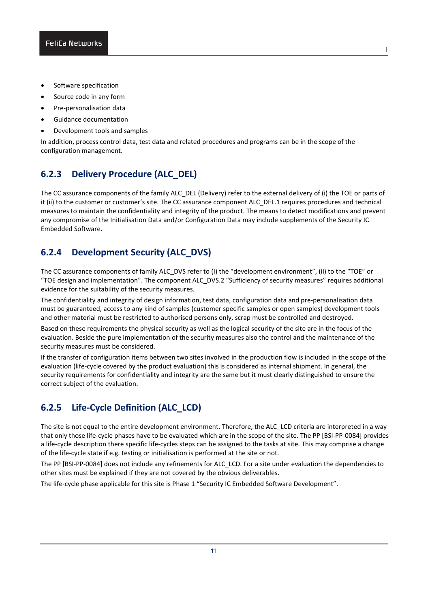- Software specification
- Source code in any form
- Pre-personalisation data
- Guidance documentation
- Development tools and samples

In addition, process control data, test data and related procedures and programs can be in the scope of the configuration management.

## <span id="page-13-0"></span>**6.2.3 Delivery Procedure (ALC\_DEL)**

The CC assurance components of the family ALC\_DEL (Delivery) refer to the external delivery of (i) the TOE or parts of it (ii) to the customer or customer's site. The CC assurance component ALC\_DEL.1 requires procedures and technical measures to maintain the confidentiality and integrity of the product. The means to detect modifications and prevent any compromise of the Initialisation Data and/or Configuration Data may include supplements of the Security IC Embedded Software.

## <span id="page-13-1"></span>**6.2.4 Development Security (ALC\_DVS)**

The CC assurance components of family ALC\_DVS refer to (i) the "development environment", (ii) to the "TOE" or "TOE design and implementation". The component ALC\_DVS.2 "Sufficiency of security measures" requires additional evidence for the suitability of the security measures.

The confidentiality and integrity of design information, test data, configuration data and pre-personalisation data must be guaranteed, access to any kind of samples (customer specific samples or open samples) development tools and other material must be restricted to authorised persons only, scrap must be controlled and destroyed.

Based on these requirements the physical security as well as the logical security of the site are in the focus of the evaluation. Beside the pure implementation of the security measures also the control and the maintenance of the security measures must be considered.

If the transfer of configuration items between two sites involved in the production flow is included in the scope of the evaluation (life-cycle covered by the product evaluation) this is considered as internal shipment. In general, the security requirements for confidentiality and integrity are the same but it must clearly distinguished to ensure the correct subject of the evaluation.

## <span id="page-13-2"></span>**6.2.5 Life-Cycle Definition (ALC\_LCD)**

The site is not equal to the entire development environment. Therefore, the ALC\_LCD criteria are interpreted in a way that only those life-cycle phases have to be evaluated which are in the scope of the site. The PP [BSI-PP-0084] provides a life-cycle description there specific life-cycles steps can be assigned to the tasks at site. This may comprise a change of the life-cycle state if e.g. testing or initialisation is performed at the site or not.

The PP [BSI-PP-0084] does not include any refinements for ALC\_LCD. For a site under evaluation the dependencies to other sites must be explained if they are not covered by the obvious deliverables.

11

The life-cycle phase applicable for this site is Phase 1 "Security IC Embedded Software Development".

l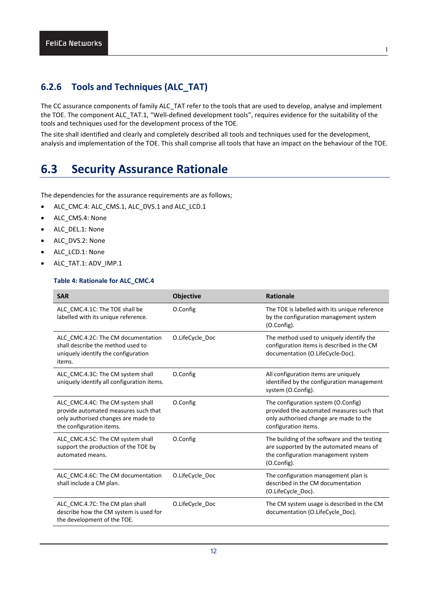## <span id="page-14-0"></span>**6.2.6 Tools and Techniques (ALC\_TAT)**

The CC assurance components of family ALC\_TAT refer to the tools that are used to develop, analyse and implement the TOE. The component ALC\_TAT.1, "Well-defined development tools", requires evidence for the suitability of the tools and techniques used for the development process of the TOE.

The site shall identified and clearly and completely described all tools and techniques used for the development, analysis and implementation of the TOE. This shall comprise all tools that have an impact on the behaviour of the TOE.

# <span id="page-14-1"></span>**6.3 Security Assurance Rationale**

The dependencies for the assurance requirements are as follows;

- ALC\_CMC.4: ALC\_CMS.1, ALC\_DVS.1 and ALC\_LCD.1
- ALC CMS.4: None
- ALC\_DEL.1: None
- ALC DVS.2: None
- ALC LCD.1: None
- ALC\_TAT.1: ADV\_IMP.1

## **Table 4: Rationale for ALC\_CMC.4**

| <b>SAR</b>                                                                                                                                   | <b>Objective</b> | <b>Rationale</b>                                                                                                                                   |
|----------------------------------------------------------------------------------------------------------------------------------------------|------------------|----------------------------------------------------------------------------------------------------------------------------------------------------|
| ALC CMC.4.1C: The TOE shall be<br>labelled with its unique reference.                                                                        | O.Config         | The TOE is labelled with its unique reference<br>by the configuration management system<br>(O.Config).                                             |
| ALC CMC.4.2C: The CM documentation<br>shall describe the method used to<br>uniquely identify the configuration<br>items.                     | O.LifeCycle Doc  | The method used to uniquely identify the<br>configuration items is described in the CM<br>documentation (O.LifeCycle-Doc).                         |
| ALC CMC.4.3C: The CM system shall<br>uniquely identify all configuration items.                                                              | O.Config         | All configuration items are uniquely<br>identified by the configuration management<br>system (O.Config).                                           |
| ALC_CMC.4.4C: The CM system shall<br>provide automated measures such that<br>only authorised changes are made to<br>the configuration items. | O.Config         | The configuration system (O.Config)<br>provided the automated measures such that<br>only authorised change are made to the<br>configuration items. |
| ALC CMC.4.5C: The CM system shall<br>support the production of the TOE by<br>automated means.                                                | O.Config         | The building of the software and the testing<br>are supported by the automated means of<br>the configuration management system<br>(O.Config).      |
| ALC CMC.4.6C: The CM documentation<br>shall include a CM plan.                                                                               | O.LifeCycle Doc  | The configuration management plan is<br>described in the CM documentation<br>(O.LifeCycle_Doc).                                                    |
| ALC_CMC.4.7C: The CM plan shall<br>describe how the CM system is used for<br>the development of the TOE.                                     | O.LifeCycle_Doc  | The CM system usage is described in the CM<br>documentation (O.LifeCycle Doc).                                                                     |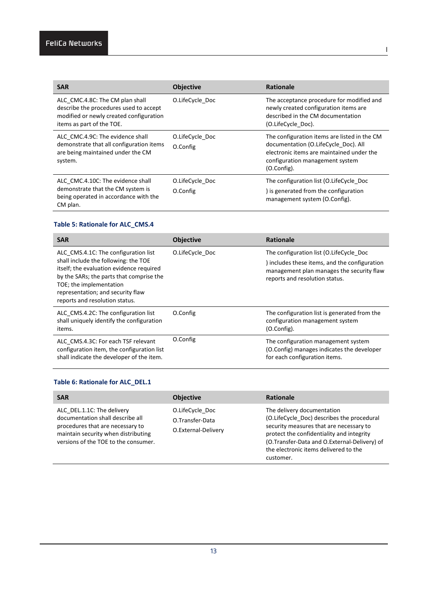| <b>SAR</b>                                                                                                                                        | <b>Objective</b> | <b>Rationale</b>                                                                                                                                                                    |
|---------------------------------------------------------------------------------------------------------------------------------------------------|------------------|-------------------------------------------------------------------------------------------------------------------------------------------------------------------------------------|
| ALC CMC.4.8C: The CM plan shall<br>describe the procedures used to accept<br>modified or newly created configuration<br>items as part of the TOE. | O.LifeCycle Doc  | The acceptance procedure for modified and<br>newly created configuration items are<br>described in the CM documentation<br>(O.LifeCycle Doc).                                       |
| ALC CMC.4.9C: The evidence shall                                                                                                                  | O.LifeCycle Doc  | The configuration items are listed in the CM<br>documentation (O.LifeCycle Doc). All<br>electronic items are maintained under the<br>configuration management system<br>(O.Config). |
| demonstrate that all configuration items<br>are being maintained under the CM<br>system.                                                          | O.Config         |                                                                                                                                                                                     |
| ALC CMC.4.10C: The evidence shall                                                                                                                 | O.LifeCycle Doc  | The configuration list (O.LifeCycle Doc                                                                                                                                             |
| demonstrate that the CM system is<br>being operated in accordance with the<br>CM plan.                                                            | O.Config         | ) is generated from the configuration<br>management system (O.Config).                                                                                                              |

## **Table 5: Rationale for ALC\_CMS.4**

| <b>SAR</b>                                                                                                                                                                                                                                                             | <b>Objective</b> | <b>Rationale</b>                                                                                                                                                        |
|------------------------------------------------------------------------------------------------------------------------------------------------------------------------------------------------------------------------------------------------------------------------|------------------|-------------------------------------------------------------------------------------------------------------------------------------------------------------------------|
| ALC CMS.4.1C: The configuration list<br>shall include the following: the TOE<br>itself; the evaluation evidence required<br>by the SARs; the parts that comprise the<br>TOE; the implementation<br>representation; and security flaw<br>reports and resolution status. | O.LifeCycle Doc  | The configuration list (O.LifeCycle Doc<br>) includes these items, and the configuration<br>management plan manages the security flaw<br>reports and resolution status. |
| ALC CMS.4.2C: The configuration list<br>shall uniquely identify the configuration<br>items.                                                                                                                                                                            | O.Config         | The configuration list is generated from the<br>configuration management system<br>(O.Config).                                                                          |
| ALC CMS.4.3C: For each TSF relevant<br>configuration item, the configuration list<br>shall indicate the developer of the item.                                                                                                                                         | O.Config         | The configuration management system<br>(O.Config) manages indicates the developer<br>for each configuration items.                                                      |

## **Table 6: Rationale for ALC\_DEL.1**

| <b>SAR</b>                                                                                                                                                                        | <b>Objective</b>                                          | <b>Rationale</b>                                                                                                                                                                                                                                                       |
|-----------------------------------------------------------------------------------------------------------------------------------------------------------------------------------|-----------------------------------------------------------|------------------------------------------------------------------------------------------------------------------------------------------------------------------------------------------------------------------------------------------------------------------------|
| ALC DEL.1.1C: The delivery<br>documentation shall describe all<br>procedures that are necessary to<br>maintain security when distributing<br>versions of the TOE to the consumer. | O.LifeCycle Doc<br>O.Transfer-Data<br>O.External-Delivery | The delivery documentation<br>(O.LifeCycle Doc) describes the procedural<br>security measures that are necessary to<br>protect the confidentiality and integrity<br>(O.Transfer-Data and O.External-Delivery) of<br>the electronic items delivered to the<br>customer. |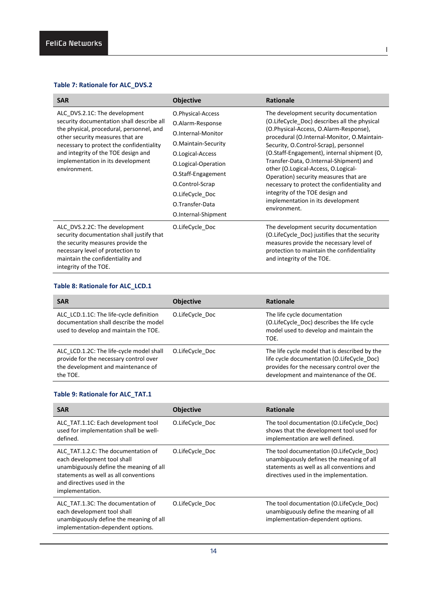## **Table 7: Rationale for ALC\_DVS.2**

| <b>SAR</b>                                                                                                                                                                                                                                                                                         | <b>Objective</b>                                                                                                                                                                                                                    | Rationale                                                                                                                                                                                                                                                                                                                                                                                                                                                                                                                                  |
|----------------------------------------------------------------------------------------------------------------------------------------------------------------------------------------------------------------------------------------------------------------------------------------------------|-------------------------------------------------------------------------------------------------------------------------------------------------------------------------------------------------------------------------------------|--------------------------------------------------------------------------------------------------------------------------------------------------------------------------------------------------------------------------------------------------------------------------------------------------------------------------------------------------------------------------------------------------------------------------------------------------------------------------------------------------------------------------------------------|
| ALC_DVS.2.1C: The development<br>security documentation shall describe all<br>the physical, procedural, personnel, and<br>other security measures that are<br>necessary to protect the confidentiality<br>and integrity of the TOE design and<br>implementation in its development<br>environment. | O.Physical-Access<br>O.Alarm-Response<br>O.Internal-Monitor<br>O.Maintain-Security<br>O.Logical-Access<br>O.Logical-Operation<br>O.Staff-Engagement<br>O.Control-Scrap<br>O.LifeCycle Doc<br>O.Transfer-Data<br>O.Internal-Shipment | The development security documentation<br>(O.LifeCycle Doc) describes all the physical<br>(O.Physical-Access, O.Alarm-Response),<br>procedural (O.Internal-Monitor, O.Maintain-<br>Security, O.Control-Scrap), personnel<br>(O.Staff-Engagement), internal shipment (O,<br>Transfer-Data, O.Internal-Shipment) and<br>other (O.Logical-Access, O.Logical-<br>Operation) security measures that are<br>necessary to protect the confidentiality and<br>integrity of the TOE design and<br>implementation in its development<br>environment. |
| ALC DVS.2.2C: The development<br>security documentation shall justify that<br>the security measures provide the<br>necessary level of protection to<br>maintain the confidentiality and<br>integrity of the TOE.                                                                                   | O.LifeCycle Doc                                                                                                                                                                                                                     | The development security documentation<br>(O.LifeCycle Doc) justifies that the security<br>measures provide the necessary level of<br>protection to maintain the confidentiality<br>and integrity of the TOE.                                                                                                                                                                                                                                                                                                                              |

l

## **Table 8: Rationale for ALC\_LCD.1**

| <b>SAR</b>                                                                                                                           | <b>Objective</b> | <b>Rationale</b>                                                                                                                                                                     |
|--------------------------------------------------------------------------------------------------------------------------------------|------------------|--------------------------------------------------------------------------------------------------------------------------------------------------------------------------------------|
| ALC LCD.1.1C: The life-cycle definition<br>documentation shall describe the model<br>used to develop and maintain the TOE.           | O.LifeCycle Doc  | The life cycle documentation<br>(O.LifeCycle Doc) describes the life cycle<br>model used to develop and maintain the<br>TOE.                                                         |
| ALC LCD.1.2C: The life-cycle model shall<br>provide for the necessary control over<br>the development and maintenance of<br>the TOE. | O.LifeCycle Doc  | The life cycle model that is described by the<br>life cycle documentation (O.LifeCycle Doc)<br>provides for the necessary control over the<br>development and maintenance of the OE. |

## **Table 9: Rationale for ALC\_TAT.1**

| <b>SAR</b>                                                                                                                                                                                              | <b>Objective</b> | <b>Rationale</b>                                                                                                                                                            |
|---------------------------------------------------------------------------------------------------------------------------------------------------------------------------------------------------------|------------------|-----------------------------------------------------------------------------------------------------------------------------------------------------------------------------|
| ALC TAT.1.1C: Each development tool<br>used for implementation shall be well-<br>defined.                                                                                                               | O.LifeCycle Doc  | The tool documentation (O.LifeCycle Doc)<br>shows that the development tool used for<br>implementation are well defined.                                                    |
| ALC TAT.1.2.C: The documentation of<br>each development tool shall<br>unambiguously define the meaning of all<br>statements as well as all conventions<br>and directives used in the<br>implementation. | O.LifeCycle Doc  | The tool documentation (O.LifeCycle Doc)<br>unambiguously defines the meaning of all<br>statements as well as all conventions and<br>directives used in the implementation. |
| ALC TAT.1.3C: The documentation of<br>each development tool shall<br>unambiguously define the meaning of all<br>implementation-dependent options.                                                       | O.LifeCycle Doc  | The tool documentation (O.LifeCycle Doc)<br>unambiguously define the meaning of all<br>implementation-dependent options.                                                    |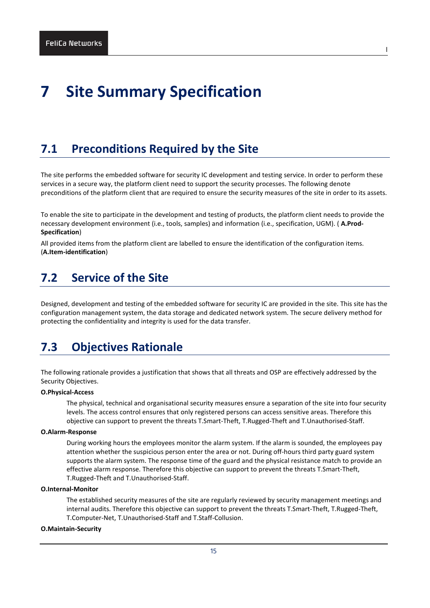# <span id="page-17-0"></span>**7 Site Summary Specification**

## <span id="page-17-1"></span>**7.1 Preconditions Required by the Site**

The site performs the embedded software for security IC development and testing service. In order to perform these services in a secure way, the platform client need to support the security processes. The following denote preconditions of the platform client that are required to ensure the security measures of the site in order to its assets.

l

To enable the site to participate in the development and testing of products, the platform client needs to provide the necessary development environment (i.e., tools, samples) and information (i.e., specification, UGM). ( **A.Prod-Specification**)

All provided items from the platform client are labelled to ensure the identification of the configuration items. (**A.Item-identification**)

## <span id="page-17-2"></span>**7.2 Service of the Site**

Designed, development and testing of the embedded software for security IC are provided in the site. This site has the configuration management system, the data storage and dedicated network system. The secure delivery method for protecting the confidentiality and integrity is used for the data transfer.

# <span id="page-17-3"></span>**7.3 Objectives Rationale**

The following rationale provides a justification that shows that all threats and OSP are effectively addressed by the Security Objectives.

## **O.Physical-Access**

The physical, technical and organisational security measures ensure a separation of the site into four security levels. The access control ensures that only registered persons can access sensitive areas. Therefore this objective can support to prevent the threats T.Smart-Theft, T.Rugged-Theft and T.Unauthorised-Staff.

## **O.Alarm-Response**

During working hours the employees monitor the alarm system. If the alarm is sounded, the employees pay attention whether the suspicious person enter the area or not. During off-hours third party guard system supports the alarm system. The response time of the guard and the physical resistance match to provide an effective alarm response. Therefore this objective can support to prevent the threats T.Smart-Theft, T.Rugged-Theft and T.Unauthorised-Staff.

## **O.Internal-Monitor**

The established security measures of the site are regularly reviewed by security management meetings and internal audits. Therefore this objective can support to prevent the threats T.Smart-Theft, T.Rugged-Theft, T.Computer-Net, T.Unauthorised-Staff and T.Staff-Collusion.

## **O.Maintain-Security**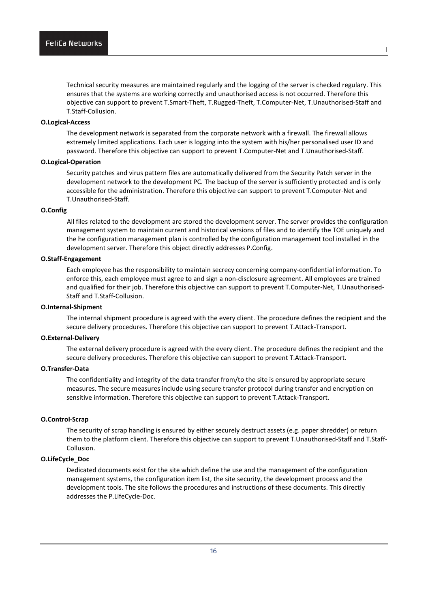Technical security measures are maintained regularly and the logging of the server is checked regulary. This ensures that the systems are working correctly and unauthorised access is not occurred. Therefore this objective can support to prevent T.Smart-Theft, T.Rugged-Theft, T.Computer-Net, T.Unauthorised-Staff and T.Staff-Collusion.

## **O.Logical-Access**

The development network is separated from the corporate network with a firewall. The firewall allows extremely limited applications. Each user is logging into the system with his/her personalised user ID and password. Therefore this objective can support to prevent T.Computer-Net and T.Unauthorised-Staff.

### **O.Logical-Operation**

Security patches and virus pattern files are automatically delivered from the Security Patch server in the development network to the development PC. The backup of the server is sufficiently protected and is only accessible for the administration. Therefore this objective can support to prevent T.Computer-Net and T.Unauthorised-Staff.

## **O.Config**

All files related to the development are stored the development server. The server provides the configuration management system to maintain current and historical versions of files and to identify the TOE uniquely and the he configuration management plan is controlled by the configuration management tool installed in the development server. Therefore this object directly addresses P.Config.

## **O.Staff-Engagement**

Each employee has the responsibility to maintain secrecy concerning company-confidential information. To enforce this, each employee must agree to and sign a non-disclosure agreement. All employees are trained and qualified for their job. Therefore this objective can support to prevent T.Computer-Net, T.Unauthorised-Staff and T.Staff-Collusion.

#### **O.Internal-Shipment**

The internal shipment procedure is agreed with the every client. The procedure defines the recipient and the secure delivery procedures. Therefore this objective can support to prevent T.Attack-Transport.

#### **O.External-Delivery**

The external delivery procedure is agreed with the every client. The procedure defines the recipient and the secure delivery procedures. Therefore this objective can support to prevent T.Attack-Transport.

## **O.Transfer-Data**

The confidentiality and integrity of the data transfer from/to the site is ensured by appropriate secure measures. The secure measures include using secure transfer protocol during transfer and encryption on sensitive information. Therefore this objective can support to prevent T.Attack-Transport.

## **O.Control-Scrap**

The security of scrap handling is ensured by either securely destruct assets (e.g. paper shredder) or return them to the platform client. Therefore this objective can support to prevent T.Unauthorised-Staff and T.Staff-Collusion.

## **O.LifeCycle\_Doc**

Dedicated documents exist for the site which define the use and the management of the configuration management systems, the configuration item list, the site security, the development process and the development tools. The site follows the procedures and instructions of these documents. This directly addresses the P.LifeCycle-Doc.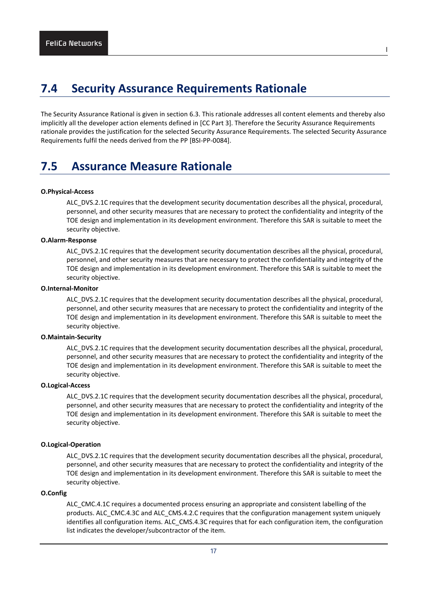# <span id="page-19-0"></span>**7.4 Security Assurance Requirements Rationale**

The Security Assurance Rational is given in section 6.3. This rationale addresses all content elements and thereby also implicitly all the developer action elements defined in [CC Part 3]. Therefore the Security Assurance Requirements rationale provides the justification for the selected Security Assurance Requirements. The selected Security Assurance Requirements fulfil the needs derived from the PP [BSI-PP-0084].

l

# <span id="page-19-1"></span>**7.5 Assurance Measure Rationale**

#### **O.Physical-Access**

ALC\_DVS.2.1C requires that the development security documentation describes all the physical, procedural, personnel, and other security measures that are necessary to protect the confidentiality and integrity of the TOE design and implementation in its development environment. Therefore this SAR is suitable to meet the security objective.

## **O.Alarm-Response**

ALC\_DVS.2.1C requires that the development security documentation describes all the physical, procedural, personnel, and other security measures that are necessary to protect the confidentiality and integrity of the TOE design and implementation in its development environment. Therefore this SAR is suitable to meet the security objective.

## **O.Internal-Monitor**

ALC\_DVS.2.1C requires that the development security documentation describes all the physical, procedural, personnel, and other security measures that are necessary to protect the confidentiality and integrity of the TOE design and implementation in its development environment. Therefore this SAR is suitable to meet the security objective.

### **O.Maintain-Security**

ALC\_DVS.2.1C requires that the development security documentation describes all the physical, procedural, personnel, and other security measures that are necessary to protect the confidentiality and integrity of the TOE design and implementation in its development environment. Therefore this SAR is suitable to meet the security objective.

#### **O.Logical-Access**

ALC\_DVS.2.1C requires that the development security documentation describes all the physical, procedural, personnel, and other security measures that are necessary to protect the confidentiality and integrity of the TOE design and implementation in its development environment. Therefore this SAR is suitable to meet the security objective.

### **O.Logical-Operation**

ALC\_DVS.2.1C requires that the development security documentation describes all the physical, procedural, personnel, and other security measures that are necessary to protect the confidentiality and integrity of the TOE design and implementation in its development environment. Therefore this SAR is suitable to meet the security objective.

## **O.Config**

ALC CMC.4.1C requires a documented process ensuring an appropriate and consistent labelling of the products. ALC\_CMC.4.3C and ALC\_CMS.4.2.C requires that the configuration management system uniquely identifies all configuration items. ALC\_CMS.4.3C requires that for each configuration item, the configuration list indicates the developer/subcontractor of the item.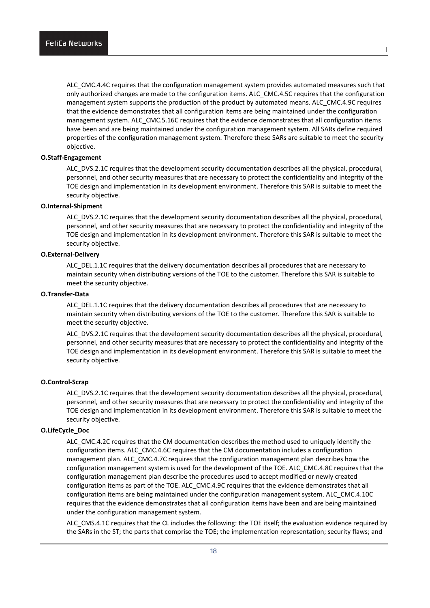ALC\_CMC.4.4C requires that the configuration management system provides automated measures such that only authorized changes are made to the configuration items. ALC\_CMC.4.5C requires that the configuration management system supports the production of the product by automated means. ALC\_CMC.4.9C requires that the evidence demonstrates that all configuration items are being maintained under the configuration management system. ALC\_CMC.5.16C requires that the evidence demonstrates that all configuration items have been and are being maintained under the configuration management system. All SARs define required properties of the configuration management system. Therefore these SARs are suitable to meet the security objective.

## **O.Staff-Engagement**

ALC\_DVS.2.1C requires that the development security documentation describes all the physical, procedural, personnel, and other security measures that are necessary to protect the confidentiality and integrity of the TOE design and implementation in its development environment. Therefore this SAR is suitable to meet the security objective.

#### **O.Internal-Shipment**

ALC\_DVS.2.1C requires that the development security documentation describes all the physical, procedural, personnel, and other security measures that are necessary to protect the confidentiality and integrity of the TOE design and implementation in its development environment. Therefore this SAR is suitable to meet the security objective.

## **O.External-Delivery**

ALC DEL.1.1C requires that the delivery documentation describes all procedures that are necessary to maintain security when distributing versions of the TOE to the customer. Therefore this SAR is suitable to meet the security objective.

## **O.Transfer-Data**

ALC DEL.1.1C requires that the delivery documentation describes all procedures that are necessary to maintain security when distributing versions of the TOE to the customer. Therefore this SAR is suitable to meet the security objective.

ALC\_DVS.2.1C requires that the development security documentation describes all the physical, procedural, personnel, and other security measures that are necessary to protect the confidentiality and integrity of the TOE design and implementation in its development environment. Therefore this SAR is suitable to meet the security objective.

## **O.Control-Scrap**

ALC\_DVS.2.1C requires that the development security documentation describes all the physical, procedural, personnel, and other security measures that are necessary to protect the confidentiality and integrity of the TOE design and implementation in its development environment. Therefore this SAR is suitable to meet the security objective.

## **O.LifeCycle\_Doc**

ALC\_CMC.4.2C requires that the CM documentation describes the method used to uniquely identify the configuration items. ALC\_CMC.4.6C requires that the CM documentation includes a configuration management plan. ALC\_CMC.4.7C requires that the configuration management plan describes how the configuration management system is used for the development of the TOE. ALC\_CMC.4.8C requires that the configuration management plan describe the procedures used to accept modified or newly created configuration items as part of the TOE. ALC\_CMC.4.9C requires that the evidence demonstrates that all configuration items are being maintained under the configuration management system. ALC\_CMC.4.10C requires that the evidence demonstrates that all configuration items have been and are being maintained under the configuration management system.

ALC CMS.4.1C requires that the CL includes the following: the TOE itself; the evaluation evidence required by the SARs in the ST; the parts that comprise the TOE; the implementation representation; security flaws; and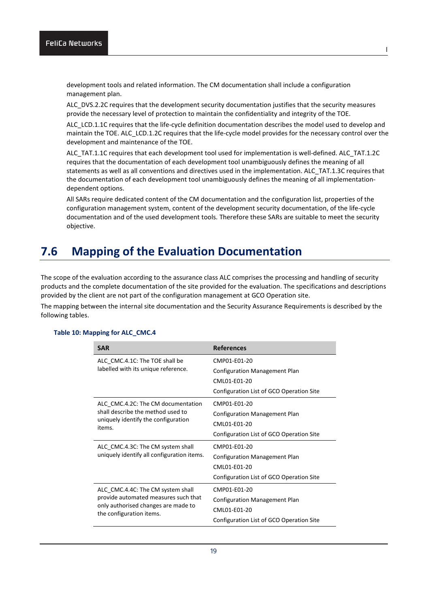development tools and related information. The CM documentation shall include a configuration management plan.

ALC\_DVS.2.2C requires that the development security documentation justifies that the security measures provide the necessary level of protection to maintain the confidentiality and integrity of the TOE.

ALC\_LCD.1.1C requires that the life-cycle definition documentation describes the model used to develop and maintain the TOE. ALC\_LCD.1.2C requires that the life-cycle model provides for the necessary control over the development and maintenance of the TOE.

ALC\_TAT.1.1C requires that each development tool used for implementation is well-defined. ALC\_TAT.1.2C requires that the documentation of each development tool unambiguously defines the meaning of all statements as well as all conventions and directives used in the implementation. ALC\_TAT.1.3C requires that the documentation of each development tool unambiguously defines the meaning of all implementationdependent options.

All SARs require dedicated content of the CM documentation and the configuration list, properties of the configuration management system, content of the development security documentation, of the life-cycle documentation and of the used development tools. Therefore these SARs are suitable to meet the security objective.

# <span id="page-21-0"></span>**7.6 Mapping of the Evaluation Documentation**

The scope of the evaluation according to the assurance class ALC comprises the processing and handling of security products and the complete documentation of the site provided for the evaluation. The specifications and descriptions provided by the client are not part of the configuration management at GCO Operation site.

The mapping between the internal site documentation and the Security Assurance Requirements is described by the following tables.

| <b>SAR</b>                                                      | <b>References</b>                        |
|-----------------------------------------------------------------|------------------------------------------|
| ALC CMC.4.1C: The TOE shall be                                  | CMP01-E01-20                             |
| labelled with its unique reference.                             | <b>Configuration Management Plan</b>     |
|                                                                 | CML01-E01-20                             |
|                                                                 | Configuration List of GCO Operation Site |
| ALC CMC.4.2C: The CM documentation                              | CMP01-E01-20                             |
| shall describe the method used to                               | <b>Configuration Management Plan</b>     |
| uniquely identify the configuration<br>items.                   | CML01-E01-20                             |
|                                                                 | Configuration List of GCO Operation Site |
| ALC CMC.4.3C: The CM system shall                               | CMP01-F01-20                             |
| uniquely identify all configuration items.                      | <b>Configuration Management Plan</b>     |
|                                                                 | CMI 01-F01-20                            |
|                                                                 | Configuration List of GCO Operation Site |
| ALC_CMC.4.4C: The CM system shall                               | CMP01-F01-20                             |
| provide automated measures such that                            | <b>Configuration Management Plan</b>     |
| only authorised changes are made to<br>the configuration items. | CML01-E01-20                             |
|                                                                 | Configuration List of GCO Operation Site |

#### **Table 10: Mapping for ALC\_CMC.4**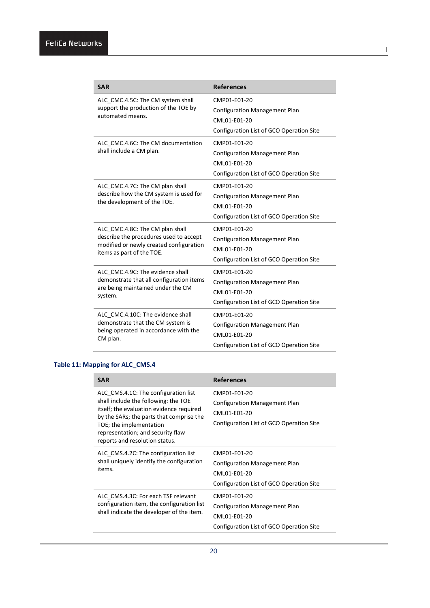| <b>SAR</b>                                                                                                                  | <b>References</b>                        |
|-----------------------------------------------------------------------------------------------------------------------------|------------------------------------------|
| ALC CMC.4.5C: The CM system shall<br>support the production of the TOE by                                                   | CMP01-E01-20                             |
|                                                                                                                             | <b>Configuration Management Plan</b>     |
| automated means.                                                                                                            | CML01-E01-20                             |
|                                                                                                                             | Configuration List of GCO Operation Site |
| ALC CMC.4.6C: The CM documentation                                                                                          | CMP01-E01-20                             |
| shall include a CM plan.                                                                                                    | <b>Configuration Management Plan</b>     |
|                                                                                                                             | CML01-E01-20                             |
|                                                                                                                             | Configuration List of GCO Operation Site |
| ALC CMC.4.7C: The CM plan shall                                                                                             | CMP01-E01-20                             |
| describe how the CM system is used for                                                                                      | <b>Configuration Management Plan</b>     |
| the development of the TOE.                                                                                                 | CML01-E01-20                             |
|                                                                                                                             | Configuration List of GCO Operation Site |
| ALC CMC.4.8C: The CM plan shall                                                                                             | CMP01-E01-20                             |
| describe the procedures used to accept                                                                                      | <b>Configuration Management Plan</b>     |
| modified or newly created configuration<br>items as part of the TOE.                                                        | CMI 01-F01-20                            |
|                                                                                                                             | Configuration List of GCO Operation Site |
| ALC CMC.4.9C: The evidence shall                                                                                            | CMP01-F01-20                             |
| demonstrate that all configuration items<br>are being maintained under the CM<br>system.                                    | <b>Configuration Management Plan</b>     |
|                                                                                                                             | CML01-E01-20                             |
|                                                                                                                             | Configuration List of GCO Operation Site |
| ALC CMC.4.10C: The evidence shall<br>demonstrate that the CM system is<br>being operated in accordance with the<br>CM plan. | CMP01-F01-20                             |
|                                                                                                                             | <b>Configuration Management Plan</b>     |
|                                                                                                                             | CML01-E01-20                             |
|                                                                                                                             | Configuration List of GCO Operation Site |

 $\blacksquare$ 

## **Table 11: Mapping for ALC\_CMS.4**

| <b>SAR</b>                                                                                                                                                                                                                                                             | <b>References</b>                                                                                                |
|------------------------------------------------------------------------------------------------------------------------------------------------------------------------------------------------------------------------------------------------------------------------|------------------------------------------------------------------------------------------------------------------|
| ALC CMS.4.1C: The configuration list<br>shall include the following: the TOE<br>itself; the evaluation evidence required<br>by the SARs; the parts that comprise the<br>TOE; the implementation<br>representation; and security flaw<br>reports and resolution status. | CMP01-E01-20<br><b>Configuration Management Plan</b><br>CML01-E01-20<br>Configuration List of GCO Operation Site |
| ALC CMS.4.2C: The configuration list<br>shall uniquely identify the configuration<br>items.                                                                                                                                                                            | CMP01-E01-20<br>Configuration Management Plan<br>CML01-E01-20<br>Configuration List of GCO Operation Site        |
| ALC CMS.4.3C: For each TSF relevant<br>configuration item, the configuration list<br>shall indicate the developer of the item.                                                                                                                                         | CMP01-E01-20<br><b>Configuration Management Plan</b><br>CML01-E01-20<br>Configuration List of GCO Operation Site |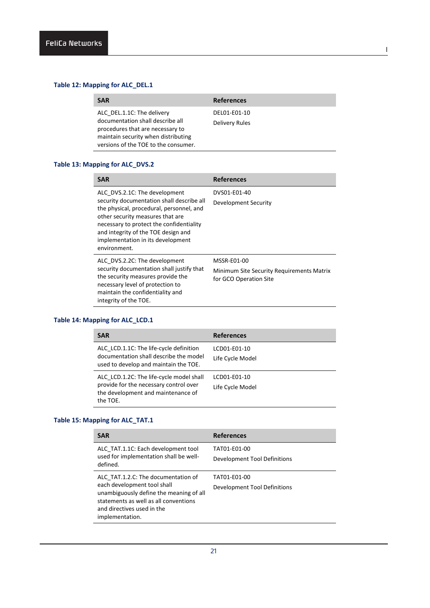## **Table 12: Mapping for ALC\_DEL.1**

| <b>SAR</b>                                                                                                                                                                        | <b>References</b>              |
|-----------------------------------------------------------------------------------------------------------------------------------------------------------------------------------|--------------------------------|
| ALC DEL.1.1C: The delivery<br>documentation shall describe all<br>procedures that are necessary to<br>maintain security when distributing<br>versions of the TOE to the consumer. | DEL01-E01-10<br>Delivery Rules |

l

## **Table 13: Mapping for ALC\_DVS.2**

| <b>SAR</b>                                                                                                                                                                                                                                                                                         | <b>References</b>                                                                         |  |
|----------------------------------------------------------------------------------------------------------------------------------------------------------------------------------------------------------------------------------------------------------------------------------------------------|-------------------------------------------------------------------------------------------|--|
| ALC DVS.2.1C: The development<br>security documentation shall describe all<br>the physical, procedural, personnel, and<br>other security measures that are<br>necessary to protect the confidentiality<br>and integrity of the TOE design and<br>implementation in its development<br>environment. | DVS01-E01-40<br>Development Security                                                      |  |
| ALC DVS.2.2C: The development<br>security documentation shall justify that<br>the security measures provide the<br>necessary level of protection to<br>maintain the confidentiality and<br>integrity of the TOE.                                                                                   | <b>MSSR-E01-00</b><br>Minimum Site Security Requirements Matrix<br>for GCO Operation Site |  |

## **Table 14: Mapping for ALC\_LCD.1**

| <b>SAR</b>                                                                                                                           | <b>References</b>                |
|--------------------------------------------------------------------------------------------------------------------------------------|----------------------------------|
| ALC LCD.1.1C: The life-cycle definition<br>documentation shall describe the model<br>used to develop and maintain the TOE.           | LCD01-E01-10<br>Life Cycle Model |
| ALC LCD.1.2C: The life-cycle model shall<br>provide for the necessary control over<br>the development and maintenance of<br>the TOE. | LCD01-E01-10<br>Life Cycle Model |

## **Table 15: Mapping for ALC\_TAT.1**

| <b>SAR</b>                                                                                                                                                                                              | <b>References</b>                            |
|---------------------------------------------------------------------------------------------------------------------------------------------------------------------------------------------------------|----------------------------------------------|
| ALC TAT.1.1C: Each development tool<br>used for implementation shall be well-<br>defined.                                                                                                               | TAT01-E01-00<br>Development Tool Definitions |
| ALC TAT.1.2.C: The documentation of<br>each development tool shall<br>unambiguously define the meaning of all<br>statements as well as all conventions<br>and directives used in the<br>implementation. | TAT01-E01-00<br>Development Tool Definitions |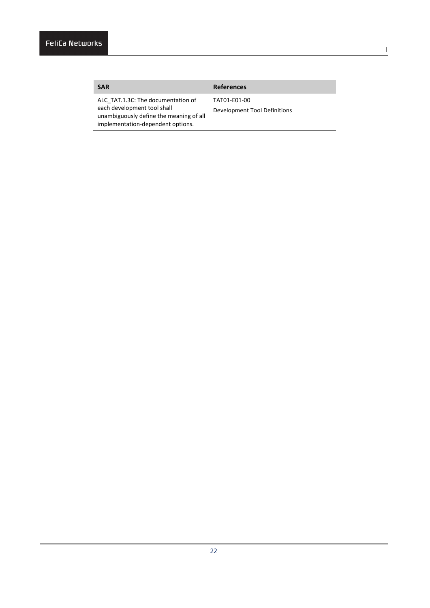## **SAR References** TAT01-E01-00

ALC\_TAT.1.3C: The documentation of each development tool shall unambiguously define the meaning of all implementation-dependent options.

Development Tool Definitions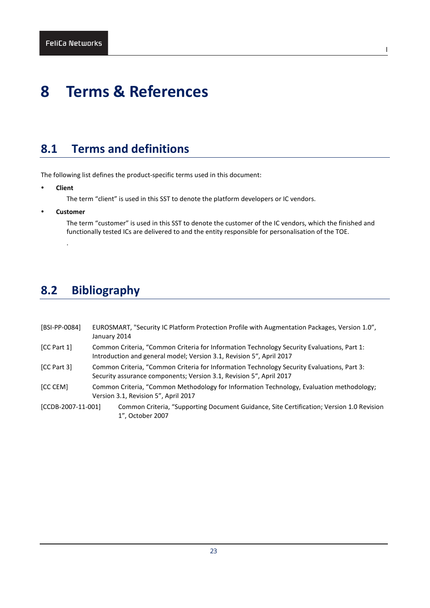# <span id="page-25-0"></span>**8 Terms & References**

# <span id="page-25-1"></span>**8.1 Terms and definitions**

The following list defines the product-specific terms used in this document:

**Client**

The term "client" is used in this SST to denote the platform developers or IC vendors.

**Customer**

.

The term "customer" is used in this SST to denote the customer of the IC vendors, which the finished and functionally tested ICs are delivered to and the entity responsible for personalisation of the TOE.

l

# <span id="page-25-2"></span>**8.2 Bibliography**

| [BSI-PP-0084]      | EUROSMART, "Security IC Platform Protection Profile with Augmentation Packages, Version 1.0",<br>January 2014                                                      |  |
|--------------------|--------------------------------------------------------------------------------------------------------------------------------------------------------------------|--|
| [CC Part 1]        | Common Criteria, "Common Criteria for Information Technology Security Evaluations, Part 1:<br>Introduction and general model; Version 3.1, Revision 5", April 2017 |  |
| [CC Part 3]        | Common Criteria, "Common Criteria for Information Technology Security Evaluations, Part 3:<br>Security assurance components; Version 3.1, Revision 5", April 2017  |  |
| [CC CEM]           | Common Criteria, "Common Methodology for Information Technology, Evaluation methodology;<br>Version 3.1, Revision 5", April 2017                                   |  |
| [CCDB-2007-11-001] | Common Criteria, "Supporting Document Guidance, Site Certification; Version 1.0 Revision<br>1", October 2007                                                       |  |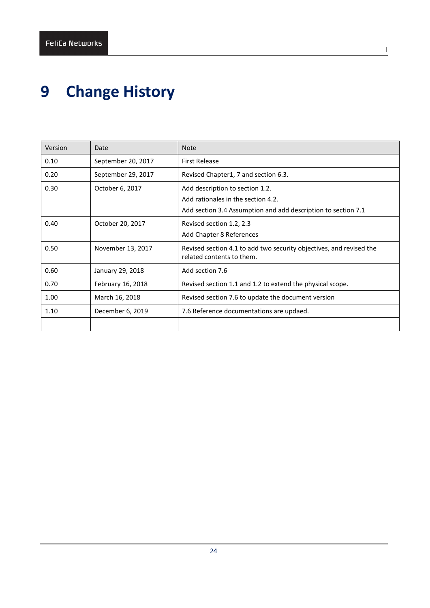# <span id="page-26-0"></span>**9 Change History**

| Version | Date               | <b>Note</b>                                                                                                                            |
|---------|--------------------|----------------------------------------------------------------------------------------------------------------------------------------|
| 0.10    | September 20, 2017 | <b>First Release</b>                                                                                                                   |
| 0.20    | September 29, 2017 | Revised Chapter1, 7 and section 6.3.                                                                                                   |
| 0.30    | October 6, 2017    | Add description to section 1.2.<br>Add rationales in the section 4.2.<br>Add section 3.4 Assumption and add description to section 7.1 |
| 0.40    | October 20, 2017   | Revised section 1.2, 2.3<br>Add Chapter 8 References                                                                                   |
| 0.50    | November 13, 2017  | Revised section 4.1 to add two security objectives, and revised the<br>related contents to them.                                       |
| 0.60    | January 29, 2018   | Add section 7.6                                                                                                                        |
| 0.70    | February 16, 2018  | Revised section 1.1 and 1.2 to extend the physical scope.                                                                              |
| 1.00    | March 16, 2018     | Revised section 7.6 to update the document version                                                                                     |
| 1.10    | December 6, 2019   | 7.6 Reference documentations are updaed.                                                                                               |
|         |                    |                                                                                                                                        |

l